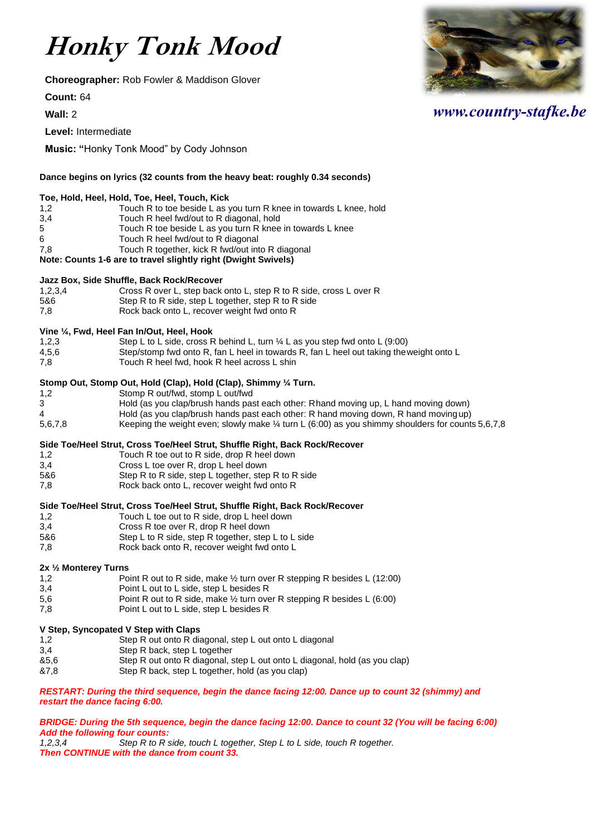# **Honky Tonk Mood**

**Choreographer:** Rob Fowler & Maddison Glover

**Count:** 64

**Wall:** 2

**Level:** Intermediate

**Music: "**Honky Tonk Mood" by Cody Johnson

# **Dance begins on lyrics (32 counts from the heavy beat: roughly 0.34 seconds) Toe, Hold, Heel, Hold, Toe, Heel, Touch, Kick** 1,2 Touch R to toe beside L as you turn R knee in towards L knee, hold<br>3,4 Touch R heel fwd/out to R diagonal, hold 3,4 Touch R heel fwd/out to R diagonal, hold<br>5 Touch R toe beside L as you turn R knee 5 Touch R toe beside L as you turn R knee in towards L knee 6 Touch R heel fwd/out to R diagonal 7,8 Touch R together, kick R fwd/out into R diagonal **Note: Counts 1-6 are to travel slightly right (Dwight Swivels) Jazz Box, Side Shuffle, Back Rock/Recover**<br>1.2.3.4 Cross R over L, step back 1,2,3,4 Cross R over L, step back onto L, step R to R side, cross L over R<br>5&6 Step R to R side, step L together, step R to R side Step R to R side, step L together, step R to R side 7,8 Rock back onto L, recover weight fwd onto R **Vine ¼, Fwd, Heel Fan In/Out, Heel, Hook** 1,2,3 Step L to L side, cross R behind L, turn ¼ L as you step fwd onto L (9:00) 4,5,6 Step/stomp fwd onto R, fan L heel in towards R, fan L heel out taking the weight onto L<br>7,8 Touch R heel fwd, hook R heel across L shin Touch R heel fwd, hook R heel across L shin **Stomp Out, Stomp Out, Hold (Clap), Hold (Clap), Shimmy ¼ Turn.** 1,2 Stomp R out/fwd, stomp L out/fwd 3 Hold (as you clap/brush hands past each other: Rhand moving up, L hand moving down) 4 Hold (as you clap/brush hands past each other: R hand moving down, R hand movingup) 5,6,7,8 Keeping the weight even; slowly make ¼ turn L (6:00) as you shimmy shoulders for counts 5,6,7,8 **Side Toe/Heel Strut, Cross Toe/Heel Strut, Shuffle Right, Back Rock/Recover** 1,2 Touch R toe out to R side, drop R heel down<br>3,4 Cross L toe over R, drop L heel down Cross L toe over R, drop L heel down 5&6 Step R to R side, step L together, step R to R side 7,8 Rock back onto L, recover weight fwd onto R **Side Toe/Heel Strut, Cross Toe/Heel Strut, Shuffle Right, Back Rock/Recover** 1,2 Touch L toe out to R side, drop L heel down 3,4 Cross R toe over R, drop R heel down 5&6 Step L to R side, step R together, step L to L side 7,8 Rock back onto R, recover weight fwd onto L **2x ½ Monterey Turns** 1,2 **Point R out to R side, make 1/2 turn over R stepping R besides L (12:00)** 3,4 Point L out to L side, step L besides R 5,6 Point R out to R side, make ½ turn over R stepping R besides L (6:00) 7,8 Point L out to L side, step L besides R **V Step, Syncopated V Step with Claps**

- 1,2 Step R out onto R diagonal, step L out onto L diagonal<br>3.4 Step R back, step L together
- 3,4 Step R back, step L together<br>85.6 Step R out onto R diagonal, s
- Step R out onto R diagonal, step L out onto L diagonal, hold (as you clap)
- &7,8 Step R back, step L together, hold (as you clap)

*RESTART: During the third sequence, begin the dance facing 12:00. Dance up to count 32 (shimmy) and restart the dance facing 6:00.*

# *BRIDGE: During the 5th sequence, begin the dance facing 12:00. Dance to count 32 (You will be facing 6:00) Add the following four counts:*

*1,2,3,4 Step R to R side, touch L together, Step L to L side, touch R together. Then CONTINUE with the dance from count 33.*



# *www.country-stafke.be*